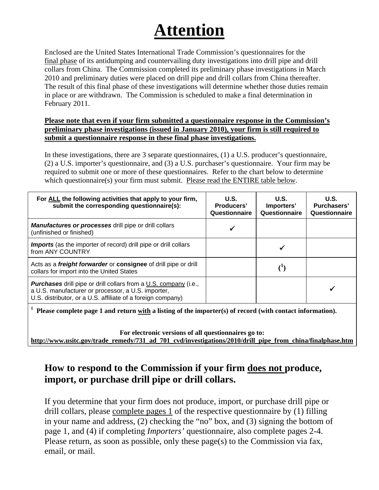## **Attention**

Enclosed are the United States International Trade Commission's questionnaires for the final phase of its antidumping and countervailing duty investigations into drill pipe and drill collars from China. The Commission completed its preliminary phase investigations in March 2010 and preliminary duties were placed on drill pipe and drill collars from China thereafter. The result of this final phase of these investigations will determine whether those duties remain in place or are withdrawn. The Commission is scheduled to make a final determination in February 2011.

## **Please note that even if your firm submitted a questionnaire response in the Commission's preliminary phase investigations (issued in January 2010), your firm is still required to submit a questionnaire response in these final phase investigations.**

In these investigations, there are 3 separate questionnaires, (1) a U.S. producer's questionnaire, (2) a U.S. importer's questionnaire, and (3) a U.S. purchaser's questionnaire. Your firm may be required to submit one or more of these questionnaires. Refer to the chart below to determine which questionnaire(s) your firm must submit. Please read the ENTIRE table below.

| For ALL the following activities that apply to your firm,<br>submit the corresponding questionnaire(s):                                                                                      | U.S.<br>Producers'<br>Questionnaire | <b>U.S.</b><br>Importers'<br>Questionnaire | <b>U.S.</b><br>Purchasers'<br>Questionnaire |
|----------------------------------------------------------------------------------------------------------------------------------------------------------------------------------------------|-------------------------------------|--------------------------------------------|---------------------------------------------|
| <b>Manufactures or processes</b> drill pipe or drill collars<br>(unfinished or finished)                                                                                                     |                                     |                                            |                                             |
| <b>Imports</b> (as the importer of record) drill pipe or drill collars<br>from ANY COUNTRY                                                                                                   |                                     |                                            |                                             |
| Acts as a freight forwarder or consignee of drill pipe or drill<br>collars for import into the United States                                                                                 |                                     |                                            |                                             |
| <b>Purchases</b> drill pipe or drill collars from a U.S. company (i.e.,<br>a U.S. manufacturer or processor, a U.S. importer,<br>U.S. distributor, or a U.S. affiliate of a foreign company) |                                     |                                            |                                             |

**1 Please complete page 1 and return with a listing of the importer(s) of record (with contact information).** 

**For electronic versions of all questionnaires go to: http://www.usitc.gov/trade\_remedy/731\_ad\_701\_cvd/investigations/2010/drill\_pipe\_from\_china/finalphase.htm**

## **How to respond to the Commission if your firm does not produce, import, or purchase drill pipe or drill collars.**

If you determine that your firm does not produce, import, or purchase drill pipe or drill collars, please complete pages 1 of the respective questionnaire by (1) filling in your name and address, (2) checking the "no" box, and (3) signing the bottom of page 1, and (4) if completing *Importers'* questionnaire, also complete pages 2-4. Please return, as soon as possible, only these page(s) to the Commission via fax, email, or mail.